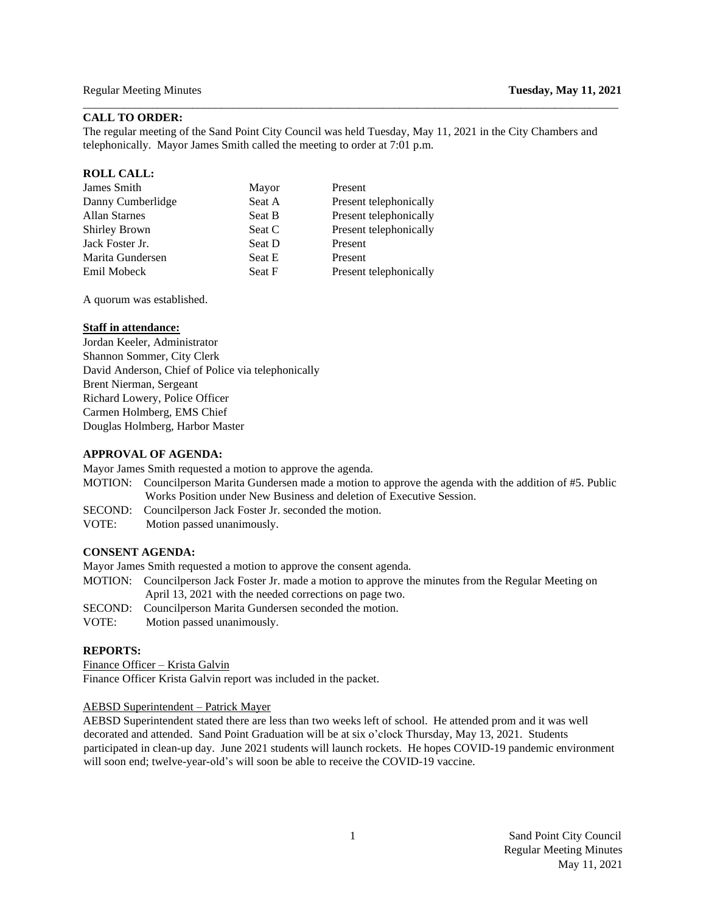# **CALL TO ORDER:**

The regular meeting of the Sand Point City Council was held Tuesday, May 11, 2021 in the City Chambers and telephonically. Mayor James Smith called the meeting to order at 7:01 p.m.

\_\_\_\_\_\_\_\_\_\_\_\_\_\_\_\_\_\_\_\_\_\_\_\_\_\_\_\_\_\_\_\_\_\_\_\_\_\_\_\_\_\_\_\_\_\_\_\_\_\_\_\_\_\_\_\_\_\_\_\_\_\_\_\_\_\_\_\_\_\_\_\_\_\_\_\_\_\_\_\_\_\_\_\_\_\_\_\_\_\_\_\_\_

### **ROLL CALL:**

| James Smith          | Mayor  | Present                |
|----------------------|--------|------------------------|
| Danny Cumberlidge    | Seat A | Present telephonically |
| <b>Allan Starnes</b> | Seat B | Present telephonically |
| <b>Shirley Brown</b> | Seat C | Present telephonically |
| Jack Foster Jr.      | Seat D | Present                |
| Marita Gundersen     | Seat E | Present                |
| Emil Mobeck          | Seat F | Present telephonically |
|                      |        |                        |

A quorum was established.

### **Staff in attendance:**

Jordan Keeler, Administrator Shannon Sommer, City Clerk David Anderson, Chief of Police via telephonically Brent Nierman, Sergeant Richard Lowery, Police Officer Carmen Holmberg, EMS Chief Douglas Holmberg, Harbor Master

#### **APPROVAL OF AGENDA:**

Mayor James Smith requested a motion to approve the agenda.

- MOTION: Councilperson Marita Gundersen made a motion to approve the agenda with the addition of #5. Public Works Position under New Business and deletion of Executive Session.
- SECOND: Councilperson Jack Foster Jr. seconded the motion.
- VOTE:Motion passed unanimously.

# **CONSENT AGENDA:**

Mayor James Smith requested a motion to approve the consent agenda.

- MOTION: Councilperson Jack Foster Jr. made a motion to approve the minutes from the Regular Meeting on April 13, 2021 with the needed corrections on page two.
- SECOND: Councilperson Marita Gundersen seconded the motion.
- VOTE:Motion passed unanimously.

# **REPORTS:**

Finance Officer – Krista Galvin Finance Officer Krista Galvin report was included in the packet.

# AEBSD Superintendent – Patrick Mayer

AEBSD Superintendent stated there are less than two weeks left of school. He attended prom and it was well decorated and attended. Sand Point Graduation will be at six o'clock Thursday, May 13, 2021. Students participated in clean-up day. June 2021 students will launch rockets. He hopes COVID-19 pandemic environment will soon end; twelve-year-old's will soon be able to receive the COVID-19 vaccine.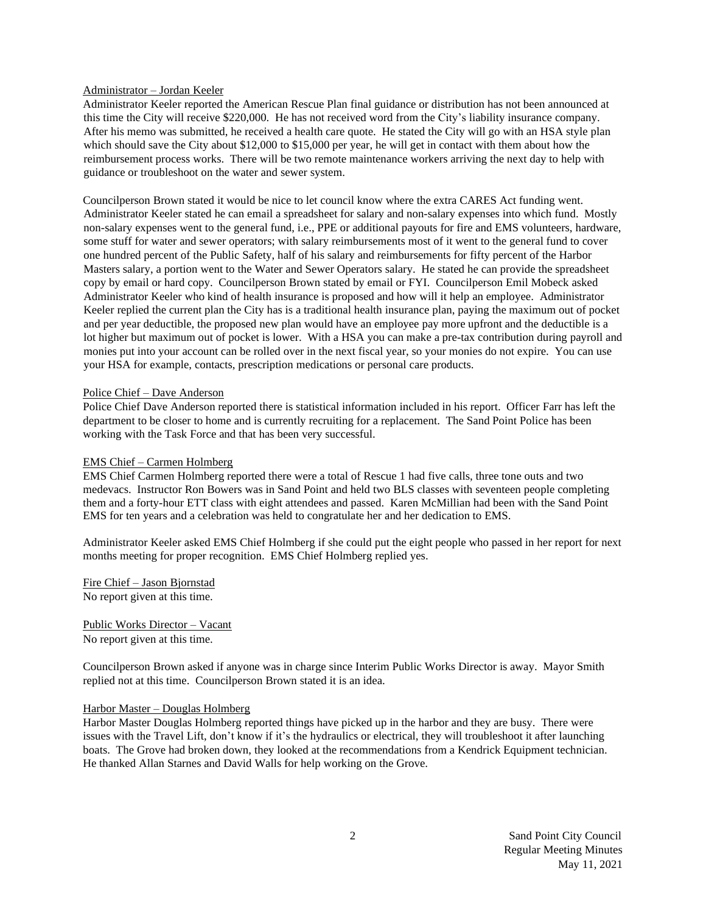## Administrator – Jordan Keeler

Administrator Keeler reported the American Rescue Plan final guidance or distribution has not been announced at this time the City will receive \$220,000. He has not received word from the City's liability insurance company. After his memo was submitted, he received a health care quote. He stated the City will go with an HSA style plan which should save the City about \$12,000 to \$15,000 per year, he will get in contact with them about how the reimbursement process works. There will be two remote maintenance workers arriving the next day to help with guidance or troubleshoot on the water and sewer system.

Councilperson Brown stated it would be nice to let council know where the extra CARES Act funding went. Administrator Keeler stated he can email a spreadsheet for salary and non-salary expenses into which fund. Mostly non-salary expenses went to the general fund, i.e., PPE or additional payouts for fire and EMS volunteers, hardware, some stuff for water and sewer operators; with salary reimbursements most of it went to the general fund to cover one hundred percent of the Public Safety, half of his salary and reimbursements for fifty percent of the Harbor Masters salary, a portion went to the Water and Sewer Operators salary. He stated he can provide the spreadsheet copy by email or hard copy. Councilperson Brown stated by email or FYI. Councilperson Emil Mobeck asked Administrator Keeler who kind of health insurance is proposed and how will it help an employee. Administrator Keeler replied the current plan the City has is a traditional health insurance plan, paying the maximum out of pocket and per year deductible, the proposed new plan would have an employee pay more upfront and the deductible is a lot higher but maximum out of pocket is lower. With a HSA you can make a pre-tax contribution during payroll and monies put into your account can be rolled over in the next fiscal year, so your monies do not expire. You can use your HSA for example, contacts, prescription medications or personal care products.

### Police Chief – Dave Anderson

Police Chief Dave Anderson reported there is statistical information included in his report. Officer Farr has left the department to be closer to home and is currently recruiting for a replacement. The Sand Point Police has been working with the Task Force and that has been very successful.

## EMS Chief – Carmen Holmberg

EMS Chief Carmen Holmberg reported there were a total of Rescue 1 had five calls, three tone outs and two medevacs. Instructor Ron Bowers was in Sand Point and held two BLS classes with seventeen people completing them and a forty-hour ETT class with eight attendees and passed. Karen McMillian had been with the Sand Point EMS for ten years and a celebration was held to congratulate her and her dedication to EMS.

Administrator Keeler asked EMS Chief Holmberg if she could put the eight people who passed in her report for next months meeting for proper recognition. EMS Chief Holmberg replied yes.

Fire Chief – Jason Bjornstad No report given at this time.

Public Works Director – Vacant No report given at this time.

Councilperson Brown asked if anyone was in charge since Interim Public Works Director is away. Mayor Smith replied not at this time. Councilperson Brown stated it is an idea.

#### Harbor Master – Douglas Holmberg

Harbor Master Douglas Holmberg reported things have picked up in the harbor and they are busy. There were issues with the Travel Lift, don't know if it's the hydraulics or electrical, they will troubleshoot it after launching boats. The Grove had broken down, they looked at the recommendations from a Kendrick Equipment technician. He thanked Allan Starnes and David Walls for help working on the Grove.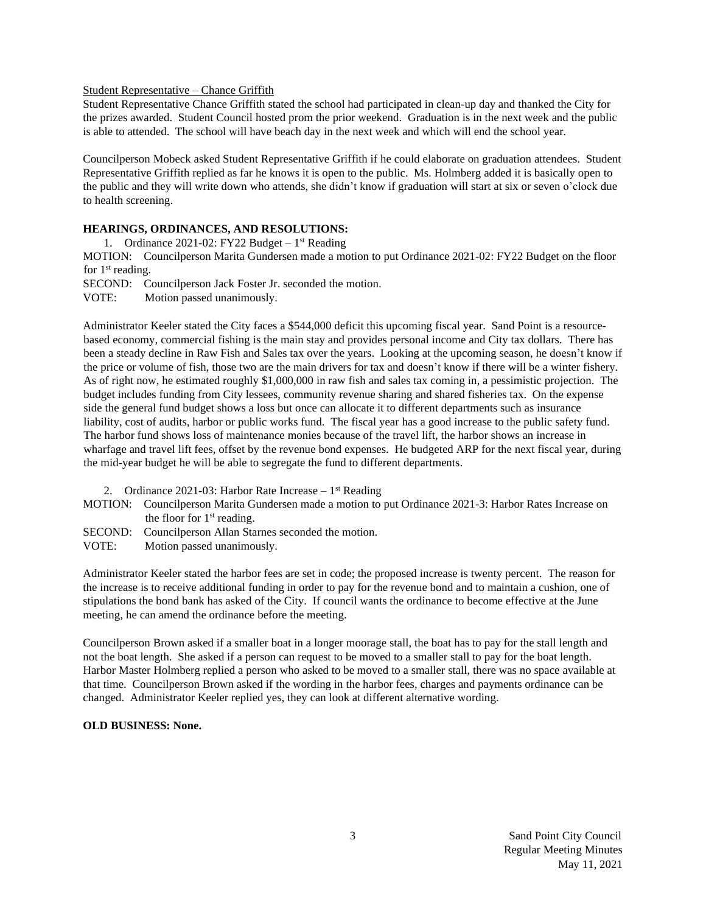# Student Representative – Chance Griffith

Student Representative Chance Griffith stated the school had participated in clean-up day and thanked the City for the prizes awarded. Student Council hosted prom the prior weekend. Graduation is in the next week and the public is able to attended. The school will have beach day in the next week and which will end the school year.

Councilperson Mobeck asked Student Representative Griffith if he could elaborate on graduation attendees. Student Representative Griffith replied as far he knows it is open to the public. Ms. Holmberg added it is basically open to the public and they will write down who attends, she didn't know if graduation will start at six or seven o'clock due to health screening.

# **HEARINGS, ORDINANCES, AND RESOLUTIONS:**

1. Ordinance 2021-02: FY22 Budget  $-1$ <sup>st</sup> Reading

MOTION: Councilperson Marita Gundersen made a motion to put Ordinance 2021-02: FY22 Budget on the floor for 1<sup>st</sup> reading.

SECOND: Councilperson Jack Foster Jr. seconded the motion.

VOTE: Motion passed unanimously.

Administrator Keeler stated the City faces a \$544,000 deficit this upcoming fiscal year. Sand Point is a resourcebased economy, commercial fishing is the main stay and provides personal income and City tax dollars. There has been a steady decline in Raw Fish and Sales tax over the years. Looking at the upcoming season, he doesn't know if the price or volume of fish, those two are the main drivers for tax and doesn't know if there will be a winter fishery. As of right now, he estimated roughly \$1,000,000 in raw fish and sales tax coming in, a pessimistic projection. The budget includes funding from City lessees, community revenue sharing and shared fisheries tax. On the expense side the general fund budget shows a loss but once can allocate it to different departments such as insurance liability, cost of audits, harbor or public works fund. The fiscal year has a good increase to the public safety fund. The harbor fund shows loss of maintenance monies because of the travel lift, the harbor shows an increase in wharfage and travel lift fees, offset by the revenue bond expenses. He budgeted ARP for the next fiscal year, during the mid-year budget he will be able to segregate the fund to different departments.

- 2. Ordinance  $2021-03$ : Harbor Rate Increase  $-1<sup>st</sup>$  Reading
- MOTION: Councilperson Marita Gundersen made a motion to put Ordinance 2021-3: Harbor Rates Increase on the floor for  $1<sup>st</sup>$  reading.
- SECOND: Councilperson Allan Starnes seconded the motion.
- VOTE: Motion passed unanimously.

Administrator Keeler stated the harbor fees are set in code; the proposed increase is twenty percent. The reason for the increase is to receive additional funding in order to pay for the revenue bond and to maintain a cushion, one of stipulations the bond bank has asked of the City. If council wants the ordinance to become effective at the June meeting, he can amend the ordinance before the meeting.

Councilperson Brown asked if a smaller boat in a longer moorage stall, the boat has to pay for the stall length and not the boat length. She asked if a person can request to be moved to a smaller stall to pay for the boat length. Harbor Master Holmberg replied a person who asked to be moved to a smaller stall, there was no space available at that time. Councilperson Brown asked if the wording in the harbor fees, charges and payments ordinance can be changed. Administrator Keeler replied yes, they can look at different alternative wording.

# **OLD BUSINESS: None.**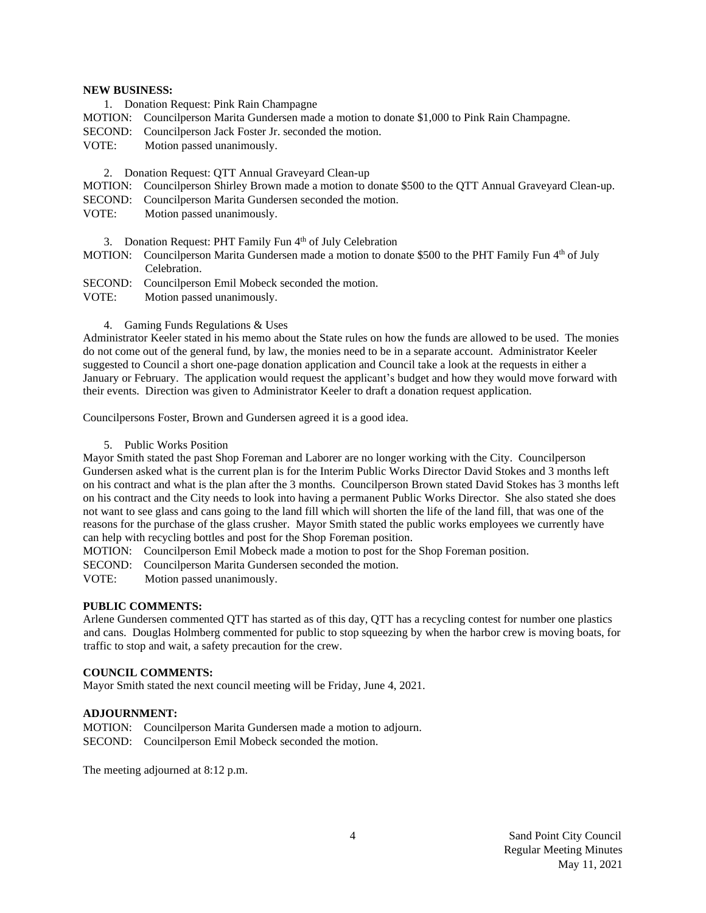# **NEW BUSINESS:**

- 1. Donation Request: Pink Rain Champagne
- MOTION: Councilperson Marita Gundersen made a motion to donate \$1,000 to Pink Rain Champagne.
- SECOND: Councilperson Jack Foster Jr. seconded the motion.
- VOTE: Motion passed unanimously.
	- 2. Donation Request: QTT Annual Graveyard Clean-up
- MOTION: Councilperson Shirley Brown made a motion to donate \$500 to the QTT Annual Graveyard Clean-up.
- SECOND: Councilperson Marita Gundersen seconded the motion.
- VOTE: Motion passed unanimously.
	- 3. Donation Request: PHT Family Fun 4<sup>th</sup> of July Celebration
- MOTION: Councilperson Marita Gundersen made a motion to donate \$500 to the PHT Family Fun 4<sup>th</sup> of July Celebration.
- SECOND: Councilperson Emil Mobeck seconded the motion.
- VOTE: Motion passed unanimously.
	- 4. Gaming Funds Regulations & Uses

Administrator Keeler stated in his memo about the State rules on how the funds are allowed to be used. The monies do not come out of the general fund, by law, the monies need to be in a separate account. Administrator Keeler suggested to Council a short one-page donation application and Council take a look at the requests in either a January or February. The application would request the applicant's budget and how they would move forward with their events. Direction was given to Administrator Keeler to draft a donation request application.

Councilpersons Foster, Brown and Gundersen agreed it is a good idea.

5. Public Works Position

Mayor Smith stated the past Shop Foreman and Laborer are no longer working with the City. Councilperson Gundersen asked what is the current plan is for the Interim Public Works Director David Stokes and 3 months left on his contract and what is the plan after the 3 months. Councilperson Brown stated David Stokes has 3 months left on his contract and the City needs to look into having a permanent Public Works Director. She also stated she does not want to see glass and cans going to the land fill which will shorten the life of the land fill, that was one of the reasons for the purchase of the glass crusher. Mayor Smith stated the public works employees we currently have can help with recycling bottles and post for the Shop Foreman position.

MOTION: Councilperson Emil Mobeck made a motion to post for the Shop Foreman position.

SECOND: Councilperson Marita Gundersen seconded the motion.

VOTE: Motion passed unanimously.

#### **PUBLIC COMMENTS:**

Arlene Gundersen commented QTT has started as of this day, QTT has a recycling contest for number one plastics and cans. Douglas Holmberg commented for public to stop squeezing by when the harbor crew is moving boats, for traffic to stop and wait, a safety precaution for the crew.

# **COUNCIL COMMENTS:**

Mayor Smith stated the next council meeting will be Friday, June 4, 2021.

# **ADJOURNMENT:**

MOTION: Councilperson Marita Gundersen made a motion to adjourn. SECOND: Councilperson Emil Mobeck seconded the motion.

The meeting adjourned at 8:12 p.m.